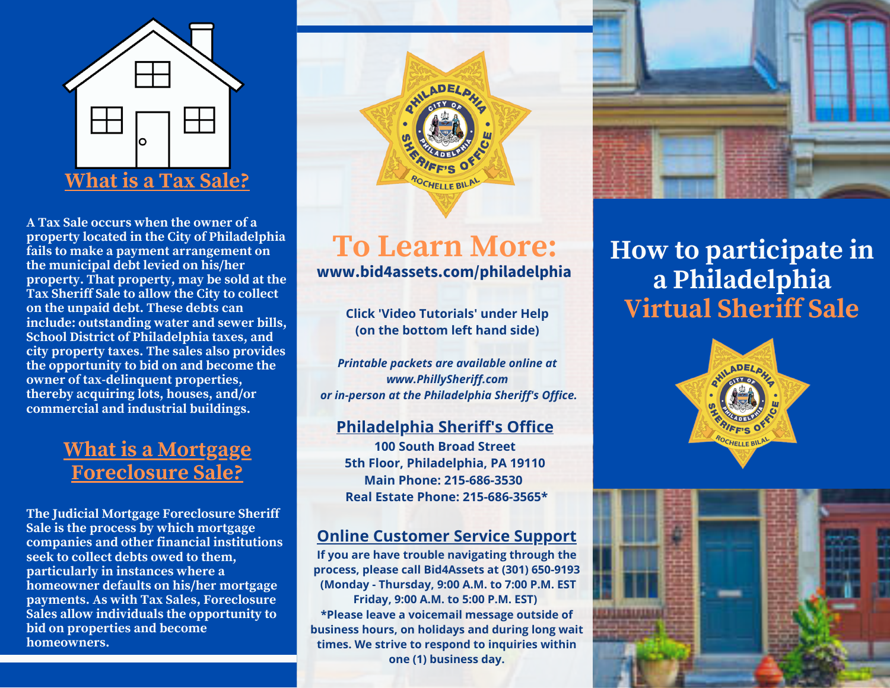

**A Tax Sale occurs when the owner of a property located in the City of Philadelphia fails to make a payment arrangement on the municipal debt levied on his/her property. That property, may be sold at the Tax Sheriff Sale to allow the City to collect on the unpaid debt. These debts can include: outstanding water and sewer bills, School District of Philadelphia taxes, and city property taxes. The sales also provides the opportunity to bid on and become the owner of tax-delinquent properties, thereby acquiring lots, houses, and/or commercial and industrial buildings.**

### **What is a Mortgage Foreclosure Sale?**

**The Judicial Mortgage Foreclosure Sheriff Sale is the process by which mortgage companies and other financial institutions seek to collect debts owed to them, particularly in instances where a homeowner defaults on his/her mortgage payments. As with Tax Sales, Foreclosure Sales allow individuals the opportunity to bid on properties and become homeowners.**



## **To Learn More: www.bid4assets.com/philadelphia**

**Click 'Video Tutorials' under Help (on the bottom left hand side)**

*Printable packets are available online at www.PhillySheriff.com or in-person at the Philadelphia Sheriff's Office.*

#### **Philadelphia Sheriff's Office**

**100 South Broad Street 5th Floor, Philadelphia, PA 19110 Main Phone: 215-686-3530 Real Estate Phone: 215-686-3565\***

### **Online Customer Service Support**

**If you are have trouble navigating through the process, please call Bid4Assets at (301) 650-9193 (Monday - Thursday, 9:00 A.M. to 7:00 P.M. EST Friday, 9:00 A.M. to 5:00 P.M. EST) \*Please leave a voicemail message outside of business hours, on holidays and during long wait times. We strive to respond to inquiries within one (1) business day.**



## **How to participate in a Philadelphia Virtual Sheriff Sale**